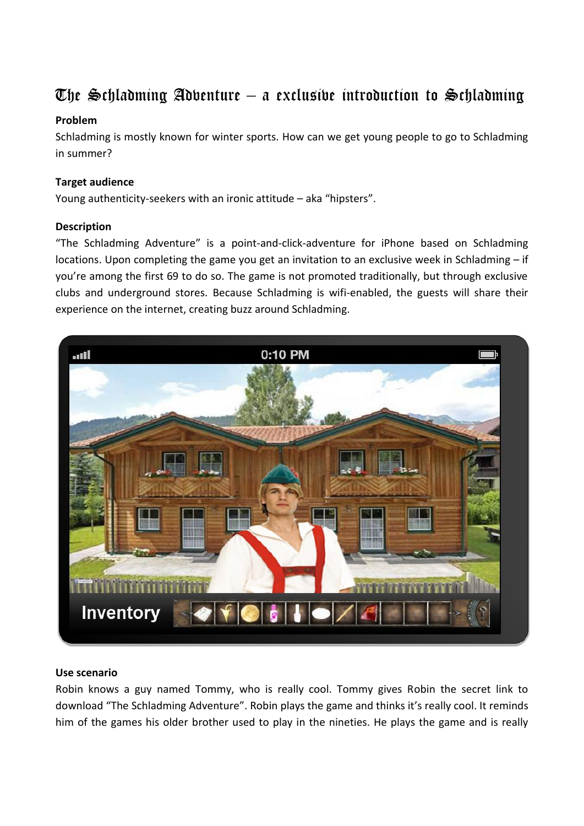# The Schladming Adventure – a exclusive introduction to Schladming

### **Problem**

Schladming is mostly known for winter sports. How can we get young people to go to Schladming in summer?

## **Target audience**

Young authenticity-seekers with an ironic attitude – aka "hipsters".

### **Description**

"The Schladming Adventure" is a point-and-click-adventure for iPhone based on Schladming locations. Upon completing the game you get an invitation to an exclusive week in Schladming – if you're among the first 69 to do so. The game is not promoted traditionally, but through exclusive clubs and underground stores. Because Schladming is wifi-enabled, the guests will share their experience on the internet, creating buzz around Schladming.



#### **Use scenario**

Robin knows a guy named Tommy, who is really cool. Tommy gives Robin the secret link to download "The Schladming Adventure". Robin plays the game and thinks it's really cool. It reminds him of the games his older brother used to play in the nineties. He plays the game and is really